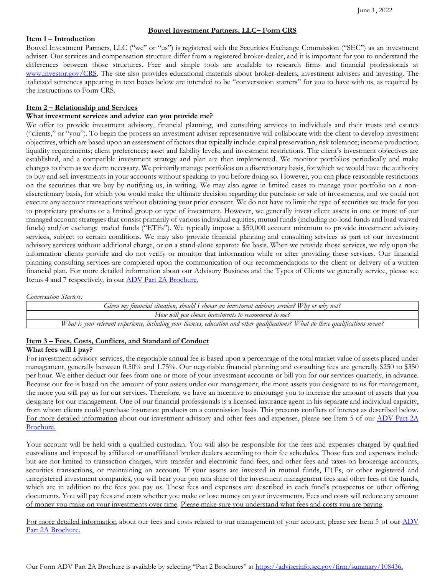# **Bouvel Investment Partners, LLC– Form CRS**

# **Item 1 – Introduction**

Bouvel Investment Partners, LLC ("we" or "us") is registered with the Securities Exchange Commission ("SEC") as an investment adviser. Our services and compensation structure differ from a registered broker-dealer, and it is important for you to understand the differences between those structures. Free and simple tools are available to research firms and financial professionals at [www.investor.gov/CRS.](http://www.investor.gov/CRS) The site also provides educational materials about broker-dealers, investment advisers and investing. The italicized sentences appearing in text boxes below are intended to be "conversation starters" for you to have with us, as required by the instructions to Form CRS.

### **Item 2 – Relationship and Services**

# **What investment services and advice can you provide me?**

We offer to provide investment advisory, financial planning, and consulting services to individuals and their trusts and estates ("clients," or "you"). To begin the process an investment adviser representative will collaborate with the client to develop investment objectives, which are based upon an assessment of factors that typically include: capital preservation; risk tolerance; income production; liquidity requirements; client preferences; asset and liability levels; and investment restrictions. The client's investment objectives are established, and a compatible investment strategy and plan are then implemented. We monitor portfolios periodically and make changes to them as we deem necessary. We primarily manage portfolios on a discretionary basis, for which we would have the authority to buy and sell investments in your accounts without speaking to you before doing so. However, you can place reasonable restrictions on the securities that we buy by notifying us, in writing. We may also agree in limited cases to manage your portfolio on a nondiscretionary basis, for which you would make the ultimate decision regarding the purchase or sale of investments, and we could not execute any account transactions without obtaining your prior consent. We do not have to limit the type of securities we trade for you to proprietary products or a limited group or type of investment. However, we generally invest client assets in one or more of our managed account strategies that consist primarily of various individual equities, mutual funds (including no-load funds and load waived funds) and/or exchange traded funds ("ETFs"). We typically impose a \$50,000 account minimum to provide investment advisory services, subject to certain conditions. We may also provide financial planning and consulting services as part of our investment advisory services without additional charge, or on a stand-alone separate fee basis. When we provide those services, we rely upon the information clients provide and do not verify or monitor that information while or after providing these services. Our financial planning consulting services are completed upon the communication of our recommendations to the client or delivery of a written financial plan. For more detailed information about our Advisory Business and the Types of Clients we generally service, please see Items 4 and 7 respectively, in ou[r ADV Part 2A Brochure,](https://adviserinfo.sec.gov/firm/summary/108436)

*Conversation Starters:*

*Given my financial situation, should I choose an investment advisory service? Why or why not? How will you choose investments to recommend to me? What is your relevant experience, including your licenses, education and other qualifications? What do these qualifications mean?*

# **Item 3 – Fees, Costs, Conflicts, and Standard of Conduct**

#### **What fees will I pay?**

For investment advisory services, the negotiable annual fee is based upon a percentage of the total market value of assets placed under management, generally between 0.50% and 1.75%. Our negotiable financial planning and consulting fees are generally \$250 to \$350 per hour. We either deduct our fees from one or more of your investment accounts or bill you for our services quarterly, in advance. Because our fee is based on the amount of your assets under our management, the more assets you designate to us for management, the more you will pay us for our services. Therefore, we have an incentive to encourage you to increase the amount of assets that you designate for our management. One of our financial professionals is a licensed insurance agent in his separate and individual capacity, from whom clients could purchase insurance products on a commission basis. This presents conflicts of interest as described below. For more detailed information about our investment advisory and other fees and expenses, please see Item 5 of our [ADV Part 2A](https://adviserinfo.sec.gov/firm/summary/108436)  [Brochure.](https://adviserinfo.sec.gov/firm/summary/108436)

Your account will be held with a qualified custodian. You will also be responsible for the fees and expenses charged by qualified custodians and imposed by affiliated or unaffiliated broker dealers according to their fee schedules. Those fees and expenses include but are not limited to transaction charges, wire transfer and electronic fund fees, and other fees and taxes on brokerage accounts, securities transactions, or maintaining an account. If your assets are invested in mutual funds, ETFs, or other registered and unregistered investment companies, you will bear your pro rata share of the investment management fees and other fees of the funds, which are in addition to the fees you pay us. These fees and expenses are described in each fund's prospectus or other offering documents. You will pay fees and costs whether you make or lose money on your investments. Fees and costs will reduce any amount of money you make on your investments over time. Please make sure you understand what fees and costs you are paying.

For more detailed information about our fees and costs related to our management of your account, please see Item 5 of our ADV [Part 2A Brochure.](https://adviserinfo.sec.gov/firm/summary/108436)